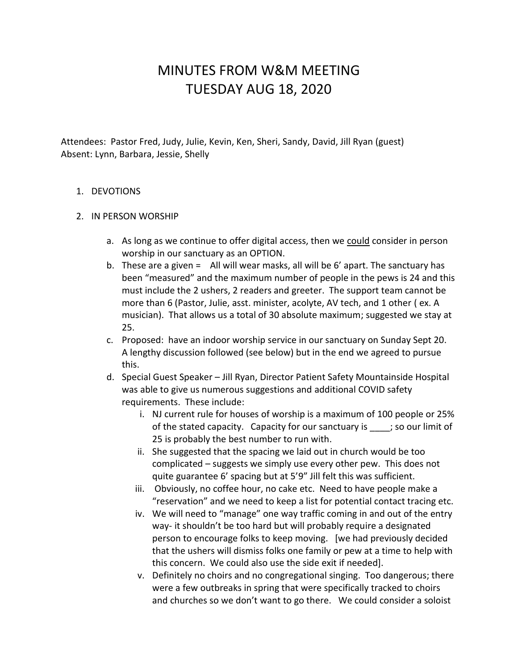## MINUTES FROM W&M MEETING TUESDAY AUG 18, 2020

Attendees: Pastor Fred, Judy, Julie, Kevin, Ken, Sheri, Sandy, David, Jill Ryan (guest) Absent: Lynn, Barbara, Jessie, Shelly

## 1. DEVOTIONS

## 2. IN PERSON WORSHIP

- a. As long as we continue to offer digital access, then we could consider in person worship in our sanctuary as an OPTION.
- b. These are a given = All will wear masks, all will be 6' apart. The sanctuary has been "measured" and the maximum number of people in the pews is 24 and this must include the 2 ushers, 2 readers and greeter. The support team cannot be more than 6 (Pastor, Julie, asst. minister, acolyte, AV tech, and 1 other ( ex. A musician). That allows us a total of 30 absolute maximum; suggested we stay at 25.
- c. Proposed: have an indoor worship service in our sanctuary on Sunday Sept 20. A lengthy discussion followed (see below) but in the end we agreed to pursue this.
- d. Special Guest Speaker Jill Ryan, Director Patient Safety Mountainside Hospital was able to give us numerous suggestions and additional COVID safety requirements. These include:
	- i. NJ current rule for houses of worship is a maximum of 100 people or 25% of the stated capacity. Capacity for our sanctuary is \_\_\_\_; so our limit of 25 is probably the best number to run with.
	- ii. She suggested that the spacing we laid out in church would be too complicated – suggests we simply use every other pew. This does not quite guarantee 6' spacing but at 5'9" Jill felt this was sufficient.
	- iii. Obviously, no coffee hour, no cake etc. Need to have people make a "reservation" and we need to keep a list for potential contact tracing etc.
	- iv. We will need to "manage" one way traffic coming in and out of the entry way- it shouldn't be too hard but will probably require a designated person to encourage folks to keep moving. [we had previously decided that the ushers will dismiss folks one family or pew at a time to help with this concern. We could also use the side exit if needed].
	- v. Definitely no choirs and no congregational singing. Too dangerous; there were a few outbreaks in spring that were specifically tracked to choirs and churches so we don't want to go there. We could consider a soloist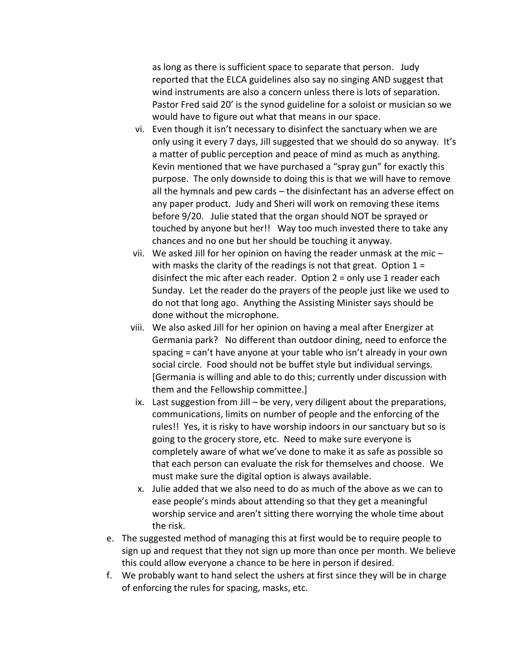as long as there is sufficient space to separate that person. Judy reported that the ELCA guidelines also say no singing AND suggest that wind instruments are also a concern unless there is lots of separation. Pastor Fred said 20' is the synod guideline for a soloist or musician so we would have to figure out what that means in our space.

- vi. Even though it isn't necessary to disinfect the sanctuary when we are only using it every 7 days, Jill suggested that we should do so anyway. It's a matter of public perception and peace of mind as much as anything. Kevin mentioned that we have purchased a "spray gun" for exactly this purpose. The only downside to doing this is that we will have to remove all the hymnals and pew cards – the disinfectant has an adverse effect on any paper product. Judy and Sheri will work on removing these items before 9/20. Julie stated that the organ should NOT be sprayed or touched by anyone but her!! Way too much invested there to take any chances and no one but her should be touching it anyway.
- vii. We asked Jill for her opinion on having the reader unmask at the mic with masks the clarity of the readings is not that great. Option  $1 =$ disinfect the mic after each reader. Option 2 = only use 1 reader each Sunday. Let the reader do the prayers of the people just like we used to do not that long ago. Anything the Assisting Minister says should be done without the microphone.
- viii. We also asked Jill for her opinion on having a meal after Energizer at Germania park? No different than outdoor dining, need to enforce the spacing = can't have anyone at your table who isn't already in your own social circle. Food should not be buffet style but individual servings. [Germania is willing and able to do this; currently under discussion with them and the Fellowship committee.]
- ix. Last suggestion from Jill be very, very diligent about the preparations, communications, limits on number of people and the enforcing of the rules!! Yes, it is risky to have worship indoors in our sanctuary but so is going to the grocery store, etc. Need to make sure everyone is completely aware of what we've done to make it as safe as possible so that each person can evaluate the risk for themselves and choose. We must make sure the digital option is always available.
- x. Julie added that we also need to do as much of the above as we can to ease people's minds about attending so that they get a meaningful worship service and aren't sitting there worrying the whole time about the risk.
- e. The suggested method of managing this at first would be to require people to sign up and request that they not sign up more than once per month. We believe this could allow everyone a chance to be here in person if desired.
- f. We probably want to hand select the ushers at first since they will be in charge of enforcing the rules for spacing, masks, etc.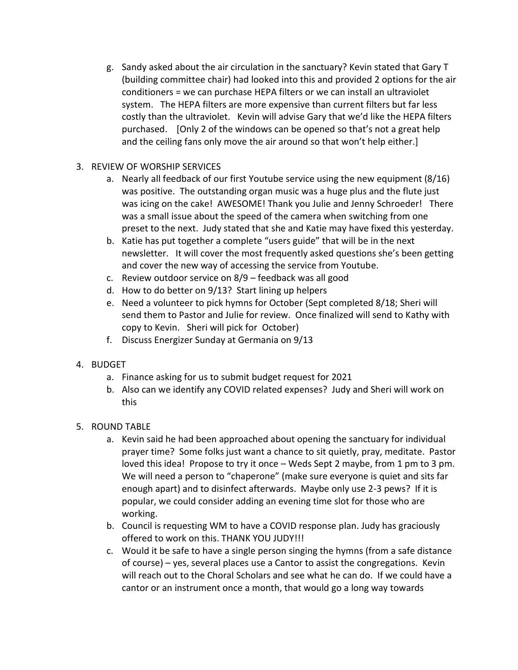- g. Sandy asked about the air circulation in the sanctuary? Kevin stated that Gary T (building committee chair) had looked into this and provided 2 options for the air conditioners = we can purchase HEPA filters or we can install an ultraviolet system. The HEPA filters are more expensive than current filters but far less costly than the ultraviolet. Kevin will advise Gary that we'd like the HEPA filters purchased. [Only 2 of the windows can be opened so that's not a great help and the ceiling fans only move the air around so that won't help either.]
- 3. REVIEW OF WORSHIP SERVICES
	- a. Nearly all feedback of our first Youtube service using the new equipment (8/16) was positive. The outstanding organ music was a huge plus and the flute just was icing on the cake! AWESOME! Thank you Julie and Jenny Schroeder! There was a small issue about the speed of the camera when switching from one preset to the next. Judy stated that she and Katie may have fixed this yesterday.
	- b. Katie has put together a complete "users guide" that will be in the next newsletter. It will cover the most frequently asked questions she's been getting and cover the new way of accessing the service from Youtube.
	- c. Review outdoor service on 8/9 feedback was all good
	- d. How to do better on 9/13? Start lining up helpers
	- e. Need a volunteer to pick hymns for October (Sept completed 8/18; Sheri will send them to Pastor and Julie for review. Once finalized will send to Kathy with copy to Kevin. Sheri will pick for October)
	- f. Discuss Energizer Sunday at Germania on 9/13
- 4. BUDGET
	- a. Finance asking for us to submit budget request for 2021
	- b. Also can we identify any COVID related expenses? Judy and Sheri will work on this
- 5. ROUND TABLE
	- a. Kevin said he had been approached about opening the sanctuary for individual prayer time? Some folks just want a chance to sit quietly, pray, meditate. Pastor loved this idea! Propose to try it once – Weds Sept 2 maybe, from 1 pm to 3 pm. We will need a person to "chaperone" (make sure everyone is quiet and sits far enough apart) and to disinfect afterwards. Maybe only use 2-3 pews? If it is popular, we could consider adding an evening time slot for those who are working.
	- b. Council is requesting WM to have a COVID response plan. Judy has graciously offered to work on this. THANK YOU JUDY!!!
	- c. Would it be safe to have a single person singing the hymns (from a safe distance of course) – yes, several places use a Cantor to assist the congregations. Kevin will reach out to the Choral Scholars and see what he can do. If we could have a cantor or an instrument once a month, that would go a long way towards